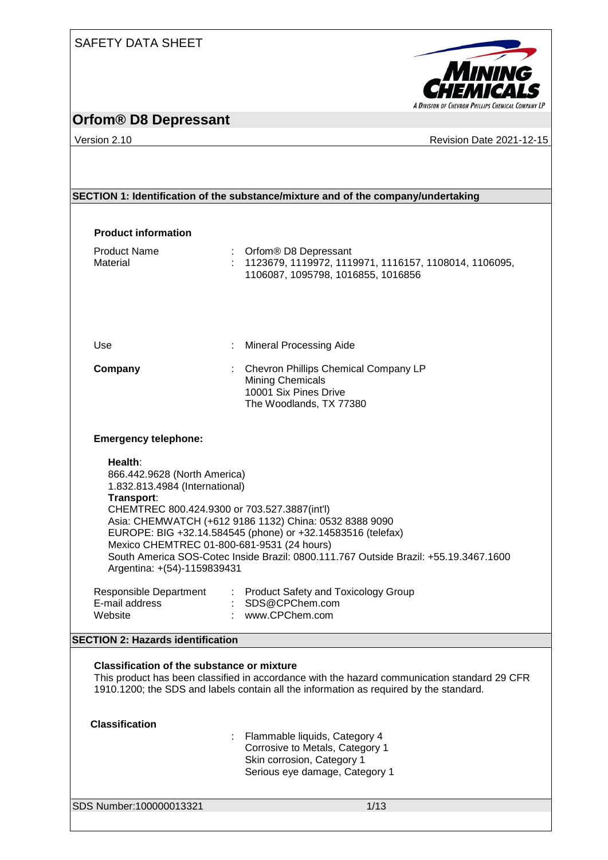### SAFETY DATA SHEET



### **Orfom® D8 Depressant**

Version 2.10 Revision Date 2021-12-15

# **SECTION 1: Identification of the substance/mixture and of the company/undertaking Product information** Product Name : Orfom® D8 Depressant<br>Material : 1123679. 1119972. 1119 1123679, 1119972, 1119971, 1116157, 1108014, 1106095, 1106087, 1095798, 1016855, 1016856 Use : Mineral Processing Aide **Company** : Chevron Phillips Chemical Company LP Mining Chemicals 10001 Six Pines Drive The Woodlands, TX 77380 **Emergency telephone: Health**: 866.442.9628 (North America) 1.832.813.4984 (International) **Transport**: CHEMTREC 800.424.9300 or 703.527.3887(int'l) Asia: CHEMWATCH (+612 9186 1132) China: 0532 8388 9090 EUROPE: BIG +32.14.584545 (phone) or +32.14583516 (telefax) Mexico CHEMTREC 01-800-681-9531 (24 hours) South America SOS-Cotec Inside Brazil: 0800.111.767 Outside Brazil: +55.19.3467.1600 Argentina: +(54)-1159839431 Responsible Department : Product Safety and Toxicology Group<br>E-mail address : SDS@CPChem.com E-mail address<br>Website : www.CPChem.com **SECTION 2: Hazards identification Classification of the substance or mixture** This product has been classified in accordance with the hazard communication standard 29 CFR 1910.1200; the SDS and labels contain all the information as required by the standard. **Classification**

: Flammable liquids, Category 4 Corrosive to Metals, Category 1 Skin corrosion, Category 1 Serious eye damage, Category 1

SDS Number:100000013321 1/13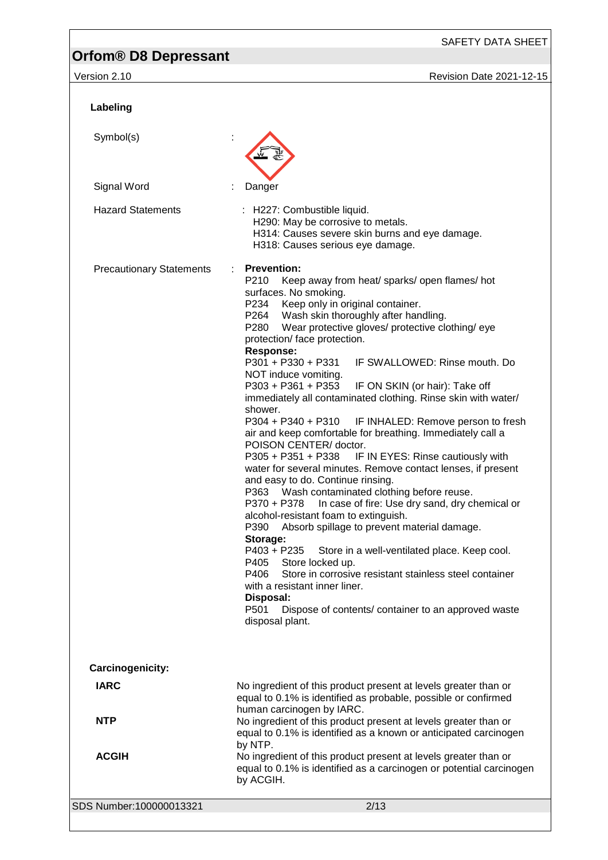| Labeling                        |                                                                                                                                                                                                                                                                                                                                                                                                                                                                                                                                                                                                                                                                                                                                                                                                                                                                                                                                                                                                                                                                                                                                                                                                                                                                                                                                                                                                 |
|---------------------------------|-------------------------------------------------------------------------------------------------------------------------------------------------------------------------------------------------------------------------------------------------------------------------------------------------------------------------------------------------------------------------------------------------------------------------------------------------------------------------------------------------------------------------------------------------------------------------------------------------------------------------------------------------------------------------------------------------------------------------------------------------------------------------------------------------------------------------------------------------------------------------------------------------------------------------------------------------------------------------------------------------------------------------------------------------------------------------------------------------------------------------------------------------------------------------------------------------------------------------------------------------------------------------------------------------------------------------------------------------------------------------------------------------|
| Symbol(s)                       |                                                                                                                                                                                                                                                                                                                                                                                                                                                                                                                                                                                                                                                                                                                                                                                                                                                                                                                                                                                                                                                                                                                                                                                                                                                                                                                                                                                                 |
| Signal Word                     | Danger                                                                                                                                                                                                                                                                                                                                                                                                                                                                                                                                                                                                                                                                                                                                                                                                                                                                                                                                                                                                                                                                                                                                                                                                                                                                                                                                                                                          |
| <b>Hazard Statements</b>        | : H227: Combustible liquid.<br>H290: May be corrosive to metals.<br>H314: Causes severe skin burns and eye damage.<br>H318: Causes serious eye damage.                                                                                                                                                                                                                                                                                                                                                                                                                                                                                                                                                                                                                                                                                                                                                                                                                                                                                                                                                                                                                                                                                                                                                                                                                                          |
| <b>Precautionary Statements</b> | <b>Prevention:</b><br>÷.<br>P210<br>Keep away from heat/ sparks/ open flames/ hot<br>surfaces. No smoking.<br>P234<br>Keep only in original container.<br>P264<br>Wash skin thoroughly after handling.<br>P280<br>Wear protective gloves/ protective clothing/ eye<br>protection/ face protection.<br><b>Response:</b><br>P301 + P330 + P331<br>IF SWALLOWED: Rinse mouth, Do<br>NOT induce vomiting.<br>P303 + P361 + P353<br>IF ON SKIN (or hair): Take off<br>immediately all contaminated clothing. Rinse skin with water/<br>shower.<br>P304 + P340 + P310<br>IF INHALED: Remove person to fresh<br>air and keep comfortable for breathing. Immediately call a<br>POISON CENTER/ doctor.<br>$P305 + P351 + P338$<br>IF IN EYES: Rinse cautiously with<br>water for several minutes. Remove contact lenses, if present<br>and easy to do. Continue rinsing.<br>Wash contaminated clothing before reuse.<br>P363<br>In case of fire: Use dry sand, dry chemical or<br>P370 + P378<br>alcohol-resistant foam to extinguish.<br>P390<br>Absorb spillage to prevent material damage.<br>Storage:<br>$P403 + P235$<br>Store in a well-ventilated place. Keep cool.<br>P405<br>Store locked up.<br>P406<br>Store in corrosive resistant stainless steel container<br>with a resistant inner liner.<br>Disposal:<br>P501<br>Dispose of contents/ container to an approved waste<br>disposal plant. |
| Carcinogenicity:                |                                                                                                                                                                                                                                                                                                                                                                                                                                                                                                                                                                                                                                                                                                                                                                                                                                                                                                                                                                                                                                                                                                                                                                                                                                                                                                                                                                                                 |
| <b>IARC</b>                     | No ingredient of this product present at levels greater than or<br>equal to 0.1% is identified as probable, possible or confirmed<br>human carcinogen by IARC.                                                                                                                                                                                                                                                                                                                                                                                                                                                                                                                                                                                                                                                                                                                                                                                                                                                                                                                                                                                                                                                                                                                                                                                                                                  |
| <b>NTP</b>                      | No ingredient of this product present at levels greater than or<br>equal to 0.1% is identified as a known or anticipated carcinogen<br>by NTP.                                                                                                                                                                                                                                                                                                                                                                                                                                                                                                                                                                                                                                                                                                                                                                                                                                                                                                                                                                                                                                                                                                                                                                                                                                                  |
| <b>ACGIH</b>                    | No ingredient of this product present at levels greater than or<br>equal to 0.1% is identified as a carcinogen or potential carcinogen<br>by ACGIH.                                                                                                                                                                                                                                                                                                                                                                                                                                                                                                                                                                                                                                                                                                                                                                                                                                                                                                                                                                                                                                                                                                                                                                                                                                             |
| SDS Number:100000013321         | 2/13                                                                                                                                                                                                                                                                                                                                                                                                                                                                                                                                                                                                                                                                                                                                                                                                                                                                                                                                                                                                                                                                                                                                                                                                                                                                                                                                                                                            |
|                                 |                                                                                                                                                                                                                                                                                                                                                                                                                                                                                                                                                                                                                                                                                                                                                                                                                                                                                                                                                                                                                                                                                                                                                                                                                                                                                                                                                                                                 |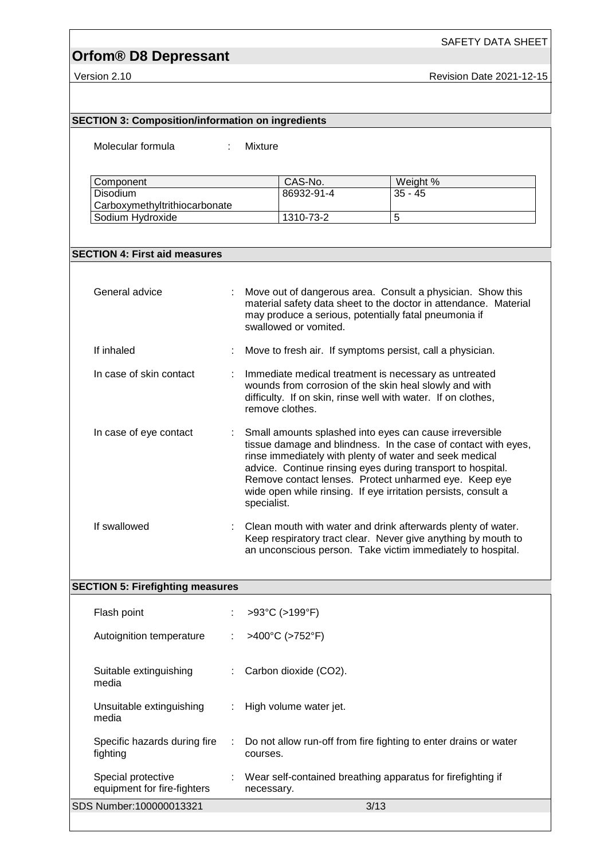SAFETY DATA SHEET

Version 2.10 **Revision Date 2021-12-15** 

| Molecular formula                                 |   | Mixture     |                        |                                                                                                                                                                                                                                                                                                                                                                                |  |
|---------------------------------------------------|---|-------------|------------------------|--------------------------------------------------------------------------------------------------------------------------------------------------------------------------------------------------------------------------------------------------------------------------------------------------------------------------------------------------------------------------------|--|
| Component                                         |   |             | CAS-No.                | Weight %                                                                                                                                                                                                                                                                                                                                                                       |  |
| Disodium                                          |   |             | 86932-91-4             | $35 - 45$                                                                                                                                                                                                                                                                                                                                                                      |  |
| Carboxymethyltrithiocarbonate<br>Sodium Hydroxide |   |             | 1310-73-2              | 5                                                                                                                                                                                                                                                                                                                                                                              |  |
|                                                   |   |             |                        |                                                                                                                                                                                                                                                                                                                                                                                |  |
| <b>SECTION 4: First aid measures</b>              |   |             |                        |                                                                                                                                                                                                                                                                                                                                                                                |  |
|                                                   |   |             |                        |                                                                                                                                                                                                                                                                                                                                                                                |  |
| General advice                                    |   |             | swallowed or vomited.  | Move out of dangerous area. Consult a physician. Show this<br>material safety data sheet to the doctor in attendance. Material<br>may produce a serious, potentially fatal pneumonia if                                                                                                                                                                                        |  |
| If inhaled                                        |   |             |                        | Move to fresh air. If symptoms persist, call a physician.                                                                                                                                                                                                                                                                                                                      |  |
| In case of skin contact                           |   |             | remove clothes.        | Immediate medical treatment is necessary as untreated<br>wounds from corrosion of the skin heal slowly and with<br>difficulty. If on skin, rinse well with water. If on clothes,                                                                                                                                                                                               |  |
| In case of eye contact                            |   | specialist. |                        | Small amounts splashed into eyes can cause irreversible<br>tissue damage and blindness. In the case of contact with eyes,<br>rinse immediately with plenty of water and seek medical<br>advice. Continue rinsing eyes during transport to hospital.<br>Remove contact lenses. Protect unharmed eye. Keep eye<br>wide open while rinsing. If eye irritation persists, consult a |  |
| If swallowed                                      |   |             |                        | Clean mouth with water and drink afterwards plenty of water.<br>Keep respiratory tract clear. Never give anything by mouth to<br>an unconscious person. Take victim immediately to hospital.                                                                                                                                                                                   |  |
| <b>SECTION 5: Firefighting measures</b>           |   |             |                        |                                                                                                                                                                                                                                                                                                                                                                                |  |
| Flash point                                       | ÷ |             | >93°C (>199°F)         |                                                                                                                                                                                                                                                                                                                                                                                |  |
| Autoignition temperature                          |   |             | >400°C (>752°F)        |                                                                                                                                                                                                                                                                                                                                                                                |  |
| Suitable extinguishing<br>media                   |   |             | Carbon dioxide (CO2).  |                                                                                                                                                                                                                                                                                                                                                                                |  |
| Unsuitable extinguishing<br>media                 |   |             | High volume water jet. |                                                                                                                                                                                                                                                                                                                                                                                |  |
| Specific hazards during fire<br>fighting          |   | courses.    |                        | Do not allow run-off from fire fighting to enter drains or water                                                                                                                                                                                                                                                                                                               |  |
| Special protective<br>equipment for fire-fighters |   | necessary.  |                        | Wear self-contained breathing apparatus for firefighting if                                                                                                                                                                                                                                                                                                                    |  |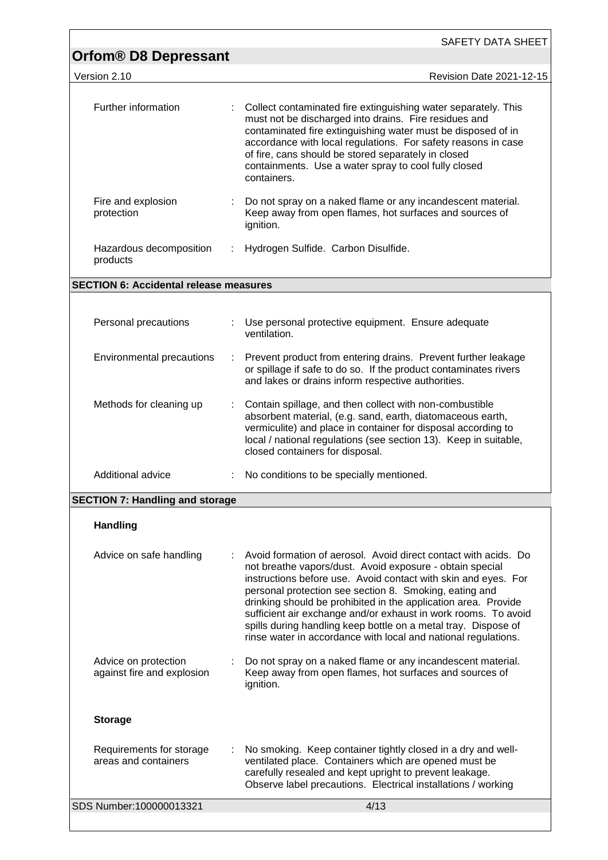|                                                    |    | <b>SAFETY DATA SHEET</b>                                                                                                                                                                                                                                                                                                                                                                                                                                                                                                        |
|----------------------------------------------------|----|---------------------------------------------------------------------------------------------------------------------------------------------------------------------------------------------------------------------------------------------------------------------------------------------------------------------------------------------------------------------------------------------------------------------------------------------------------------------------------------------------------------------------------|
| <b>Orfom® D8 Depressant</b>                        |    |                                                                                                                                                                                                                                                                                                                                                                                                                                                                                                                                 |
| Version 2.10                                       |    | Revision Date 2021-12-15                                                                                                                                                                                                                                                                                                                                                                                                                                                                                                        |
| Further information                                |    | Collect contaminated fire extinguishing water separately. This<br>must not be discharged into drains. Fire residues and<br>contaminated fire extinguishing water must be disposed of in<br>accordance with local regulations. For safety reasons in case<br>of fire, cans should be stored separately in closed<br>containments. Use a water spray to cool fully closed<br>containers.                                                                                                                                          |
| Fire and explosion<br>protection                   |    | Do not spray on a naked flame or any incandescent material.<br>Keep away from open flames, hot surfaces and sources of<br>ignition.                                                                                                                                                                                                                                                                                                                                                                                             |
| Hazardous decomposition<br>products                |    | Hydrogen Sulfide. Carbon Disulfide.                                                                                                                                                                                                                                                                                                                                                                                                                                                                                             |
| <b>SECTION 6: Accidental release measures</b>      |    |                                                                                                                                                                                                                                                                                                                                                                                                                                                                                                                                 |
|                                                    |    |                                                                                                                                                                                                                                                                                                                                                                                                                                                                                                                                 |
| Personal precautions                               |    | : Use personal protective equipment. Ensure adequate<br>ventilation.                                                                                                                                                                                                                                                                                                                                                                                                                                                            |
| Environmental precautions                          | ÷. | Prevent product from entering drains. Prevent further leakage<br>or spillage if safe to do so. If the product contaminates rivers<br>and lakes or drains inform respective authorities.                                                                                                                                                                                                                                                                                                                                         |
| Methods for cleaning up                            |    | Contain spillage, and then collect with non-combustible<br>absorbent material, (e.g. sand, earth, diatomaceous earth,<br>vermiculite) and place in container for disposal according to<br>local / national regulations (see section 13). Keep in suitable,<br>closed containers for disposal.                                                                                                                                                                                                                                   |
| Additional advice                                  |    | No conditions to be specially mentioned.                                                                                                                                                                                                                                                                                                                                                                                                                                                                                        |
| <b>SECTION 7: Handling and storage</b>             |    |                                                                                                                                                                                                                                                                                                                                                                                                                                                                                                                                 |
| <b>Handling</b>                                    |    |                                                                                                                                                                                                                                                                                                                                                                                                                                                                                                                                 |
| Advice on safe handling                            |    | Avoid formation of aerosol. Avoid direct contact with acids. Do<br>not breathe vapors/dust. Avoid exposure - obtain special<br>instructions before use. Avoid contact with skin and eyes. For<br>personal protection see section 8. Smoking, eating and<br>drinking should be prohibited in the application area. Provide<br>sufficient air exchange and/or exhaust in work rooms. To avoid<br>spills during handling keep bottle on a metal tray. Dispose of<br>rinse water in accordance with local and national regulations. |
| Advice on protection<br>against fire and explosion |    | Do not spray on a naked flame or any incandescent material.<br>Keep away from open flames, hot surfaces and sources of<br>ignition.                                                                                                                                                                                                                                                                                                                                                                                             |
| <b>Storage</b>                                     |    |                                                                                                                                                                                                                                                                                                                                                                                                                                                                                                                                 |
| Requirements for storage<br>areas and containers   |    | No smoking. Keep container tightly closed in a dry and well-<br>ventilated place. Containers which are opened must be<br>carefully resealed and kept upright to prevent leakage.<br>Observe label precautions. Electrical installations / working                                                                                                                                                                                                                                                                               |
| SDS Number:100000013321                            |    | 4/13                                                                                                                                                                                                                                                                                                                                                                                                                                                                                                                            |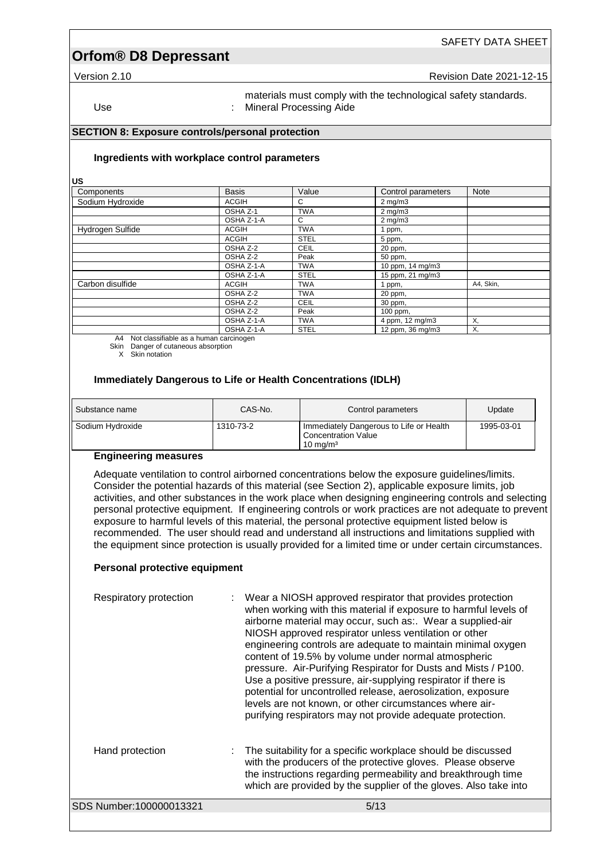Version 2.10 **Revision Date 2021-12-15** 

SAFETY DATA SHEET

materials must comply with the technological safety standards. Use : Mineral Processing Aide

#### **SECTION 8: Exposure controls/personal protection**

#### **Ingredients with workplace control parameters**

**US**

| Components       | <b>Basis</b> | Value       | Control parameters | <b>Note</b> |
|------------------|--------------|-------------|--------------------|-------------|
| Sodium Hydroxide | <b>ACGIH</b> | C           | $2 \text{ mg/m}$ 3 |             |
|                  | OSHA Z-1     | <b>TWA</b>  | $2$ mg/m $3$       |             |
|                  | OSHA Z-1-A   | C           | $2 \text{ mg/m}$   |             |
| Hydrogen Sulfide | <b>ACGIH</b> | <b>TWA</b>  | I ppm,             |             |
|                  | <b>ACGIH</b> | <b>STEL</b> | 5 ppm,             |             |
|                  | OSHA Z-2     | <b>CEIL</b> | 20 ppm,            |             |
|                  | OSHA Z-2     | Peak        | 50 ppm,            |             |
|                  | OSHA Z-1-A   | <b>TWA</b>  | 10 ppm, 14 mg/m3   |             |
|                  | OSHA Z-1-A   | <b>STEL</b> | 15 ppm, 21 mg/m3   |             |
| Carbon disulfide | <b>ACGIH</b> | <b>TWA</b>  | ppm,               | A4, Skin,   |
|                  | OSHA Z-2     | <b>TWA</b>  | 20 ppm,            |             |
|                  | OSHA Z-2     | <b>CEIL</b> | 30 ppm,            |             |
|                  | OSHA Z-2     | Peak        | 100 ppm,           |             |
|                  | OSHA Z-1-A   | <b>TWA</b>  | 4 ppm, 12 mg/m3    | Х,          |
|                  | OSHA Z-1-A   | <b>STEL</b> | 12 ppm, 36 mg/m3   | Χ.          |

A4 Not classifiable as a human carcinogen

Skin Danger of cutaneous absorption

X Skin notation

#### **Immediately Dangerous to Life or Health Concentrations (IDLH)**

| Substance name   | CAS-No.   | Control parameters                                                                   | Update     |
|------------------|-----------|--------------------------------------------------------------------------------------|------------|
| Sodium Hydroxide | 1310-73-2 | Immediately Dangerous to Life or Health<br><b>Concentration Value</b><br>10 mg/m $3$ | 1995-03-01 |

#### **Engineering measures**

Adequate ventilation to control airborned concentrations below the exposure guidelines/limits. Consider the potential hazards of this material (see Section 2), applicable exposure limits, job activities, and other substances in the work place when designing engineering controls and selecting personal protective equipment. If engineering controls or work practices are not adequate to prevent exposure to harmful levels of this material, the personal protective equipment listed below is recommended. The user should read and understand all instructions and limitations supplied with the equipment since protection is usually provided for a limited time or under certain circumstances.

#### **Personal protective equipment**

| Respiratory protection<br>Hand protection | Wear a NIOSH approved respirator that provides protection<br>when working with this material if exposure to harmful levels of<br>airborne material may occur, such as:. Wear a supplied-air<br>NIOSH approved respirator unless ventilation or other<br>engineering controls are adequate to maintain minimal oxygen<br>content of 19.5% by volume under normal atmospheric<br>pressure. Air-Purifying Respirator for Dusts and Mists / P100.<br>Use a positive pressure, air-supplying respirator if there is<br>potential for uncontrolled release, aerosolization, exposure<br>levels are not known, or other circumstances where air-<br>purifying respirators may not provide adequate protection.<br>The suitability for a specific workplace should be discussed<br>with the producers of the protective gloves. Please observe<br>the instructions regarding permeability and breakthrough time<br>which are provided by the supplier of the gloves. Also take into |
|-------------------------------------------|-----------------------------------------------------------------------------------------------------------------------------------------------------------------------------------------------------------------------------------------------------------------------------------------------------------------------------------------------------------------------------------------------------------------------------------------------------------------------------------------------------------------------------------------------------------------------------------------------------------------------------------------------------------------------------------------------------------------------------------------------------------------------------------------------------------------------------------------------------------------------------------------------------------------------------------------------------------------------------|
| SDS Number:100000013321                   | 5/13                                                                                                                                                                                                                                                                                                                                                                                                                                                                                                                                                                                                                                                                                                                                                                                                                                                                                                                                                                        |
|                                           |                                                                                                                                                                                                                                                                                                                                                                                                                                                                                                                                                                                                                                                                                                                                                                                                                                                                                                                                                                             |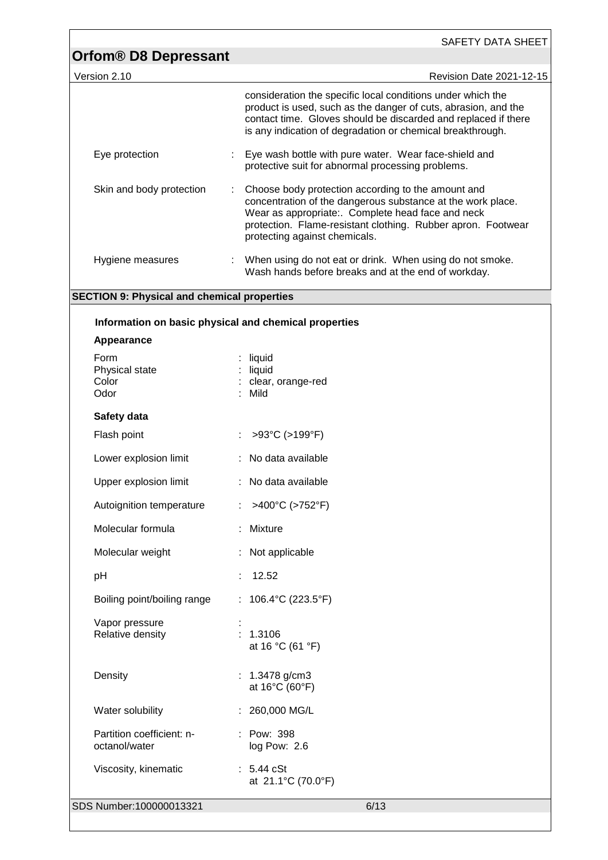|                                                    | SAFETY DATA SHEET                                                                                                                                                                                                                                                       |
|----------------------------------------------------|-------------------------------------------------------------------------------------------------------------------------------------------------------------------------------------------------------------------------------------------------------------------------|
| <b>Orfom® D8 Depressant</b>                        |                                                                                                                                                                                                                                                                         |
| Version 2.10                                       | Revision Date 2021-12-15                                                                                                                                                                                                                                                |
|                                                    | consideration the specific local conditions under which the<br>product is used, such as the danger of cuts, abrasion, and the<br>contact time. Gloves should be discarded and replaced if there<br>is any indication of degradation or chemical breakthrough.           |
| Eye protection                                     | Eye wash bottle with pure water. Wear face-shield and<br>protective suit for abnormal processing problems.                                                                                                                                                              |
| Skin and body protection                           | Choose body protection according to the amount and<br>concentration of the dangerous substance at the work place.<br>Wear as appropriate:. Complete head face and neck<br>protection. Flame-resistant clothing. Rubber apron. Footwear<br>protecting against chemicals. |
| Hygiene measures                                   | When using do not eat or drink. When using do not smoke.<br>Wash hands before breaks and at the end of workday.                                                                                                                                                         |
| <b>SECTION 9: Physical and chemical properties</b> |                                                                                                                                                                                                                                                                         |
|                                                    | Information on basic physical and chemical properties                                                                                                                                                                                                                   |
| Appearance                                         |                                                                                                                                                                                                                                                                         |
| Form<br>Physical state<br>Color<br>Odor            | liquid<br>liquid<br>: clear, orange-red<br>: Mild                                                                                                                                                                                                                       |
| Safety data                                        |                                                                                                                                                                                                                                                                         |
| Flash point                                        | >93°C (>199°F)                                                                                                                                                                                                                                                          |
| Lower explosion limit                              | : No data available                                                                                                                                                                                                                                                     |
| Upper explosion limit                              | No data available                                                                                                                                                                                                                                                       |
| Autoignition temperature                           | >400°C (>752°F)                                                                                                                                                                                                                                                         |
| Molecular formula                                  | : Mixture                                                                                                                                                                                                                                                               |
| Molecular weight                                   | Not applicable                                                                                                                                                                                                                                                          |
| pH                                                 | 12.52                                                                                                                                                                                                                                                                   |
| Boiling point/boiling range                        | : $106.4^{\circ}C(223.5^{\circ}F)$                                                                                                                                                                                                                                      |
| Vapor pressure<br>Relative density                 | 1.3106<br>at 16 °C (61 °F)                                                                                                                                                                                                                                              |
| Density                                            | : $1.3478$ g/cm3<br>at 16°C (60°F)                                                                                                                                                                                                                                      |
| Water solubility                                   | 260,000 MG/L                                                                                                                                                                                                                                                            |
| Partition coefficient: n-<br>octanol/water         | : Pow: 398<br>log Pow: 2.6                                                                                                                                                                                                                                              |
| Viscosity, kinematic                               | $: 5.44$ cSt<br>at 21.1°C (70.0°F)                                                                                                                                                                                                                                      |
| SDS Number:100000013321                            | 6/13                                                                                                                                                                                                                                                                    |

ſ

 $\overline{\phantom{0}}$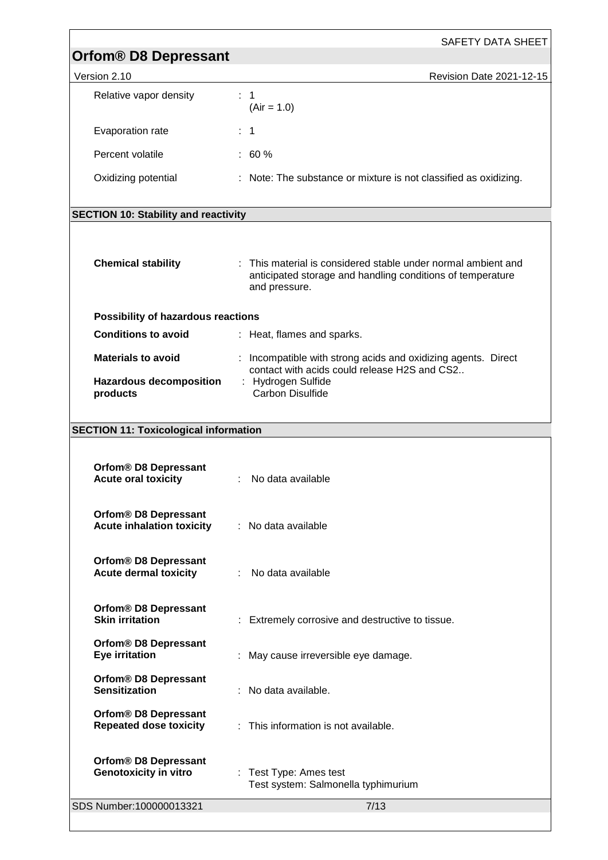|                                                             | SAFETY DATA SHEET                                                                                                                            |
|-------------------------------------------------------------|----------------------------------------------------------------------------------------------------------------------------------------------|
| <b>Orfom® D8 Depressant</b><br>Version 2.10                 | Revision Date 2021-12-15                                                                                                                     |
| Relative vapor density                                      | : 1<br>$(Air = 1.0)$                                                                                                                         |
| Evaporation rate                                            | $\therefore$ 1                                                                                                                               |
| Percent volatile                                            | : 60%                                                                                                                                        |
| Oxidizing potential                                         | : Note: The substance or mixture is not classified as oxidizing.                                                                             |
| <b>SECTION 10: Stability and reactivity</b>                 |                                                                                                                                              |
| <b>Chemical stability</b>                                   | : This material is considered stable under normal ambient and<br>anticipated storage and handling conditions of temperature<br>and pressure. |
| Possibility of hazardous reactions                          |                                                                                                                                              |
| <b>Conditions to avoid</b>                                  | : Heat, flames and sparks.                                                                                                                   |
| <b>Materials to avoid</b>                                   | : Incompatible with strong acids and oxidizing agents. Direct                                                                                |
| <b>Hazardous decomposition</b><br>products                  | contact with acids could release H2S and CS2<br>: Hydrogen Sulfide<br><b>Carbon Disulfide</b>                                                |
| <b>SECTION 11: Toxicological information</b>                |                                                                                                                                              |
| Orfom® D8 Depressant<br><b>Acute oral toxicity</b>          | : No data available                                                                                                                          |
| Orfom® D8 Depressant<br><b>Acute inhalation toxicity</b>    | : No data available                                                                                                                          |
| Orfom® D8 Depressant<br><b>Acute dermal toxicity</b>        | : No data available                                                                                                                          |
| Orfom® D8 Depressant<br><b>Skin irritation</b>              | : Extremely corrosive and destructive to tissue.                                                                                             |
| <b>Orfom® D8 Depressant</b><br>Eye irritation               | : May cause irreversible eye damage.                                                                                                         |
| Orfom® D8 Depressant<br><b>Sensitization</b>                | : No data available.                                                                                                                         |
| Orfom® D8 Depressant<br><b>Repeated dose toxicity</b>       | : This information is not available.                                                                                                         |
| <b>Orfom® D8 Depressant</b><br><b>Genotoxicity in vitro</b> | : Test Type: Ames test<br>Test system: Salmonella typhimurium                                                                                |
| SDS Number:100000013321                                     | 7/13                                                                                                                                         |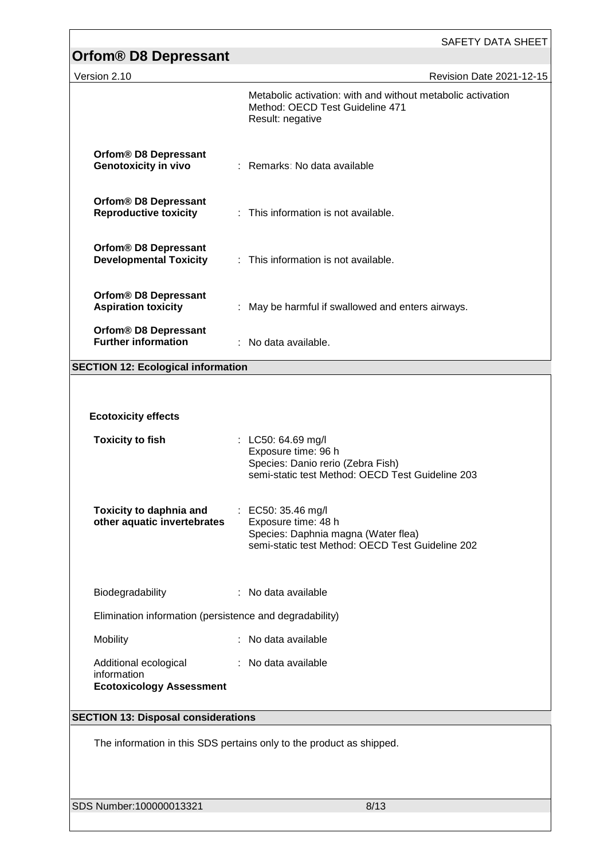| <b>Orfom® D8 Depressant</b>                                   | SAFETY DATA SHEET                                                                                                                    |  |  |
|---------------------------------------------------------------|--------------------------------------------------------------------------------------------------------------------------------------|--|--|
| Version 2.10                                                  | Revision Date 2021-12-15                                                                                                             |  |  |
|                                                               | Metabolic activation: with and without metabolic activation<br>Method: OECD Test Guideline 471<br>Result: negative                   |  |  |
| Orfom® D8 Depressant<br><b>Genotoxicity in vivo</b>           | : Remarks: No data available                                                                                                         |  |  |
| Orfom® D8 Depressant<br><b>Reproductive toxicity</b>          | : This information is not available.                                                                                                 |  |  |
| Orfom® D8 Depressant<br><b>Developmental Toxicity</b>         | : This information is not available.                                                                                                 |  |  |
| Orfom® D8 Depressant<br><b>Aspiration toxicity</b>            | : May be harmful if swallowed and enters airways.                                                                                    |  |  |
| Orfom® D8 Depressant<br><b>Further information</b>            | : No data available.                                                                                                                 |  |  |
| <b>SECTION 12: Ecological information</b>                     |                                                                                                                                      |  |  |
|                                                               |                                                                                                                                      |  |  |
| <b>Ecotoxicity effects</b>                                    |                                                                                                                                      |  |  |
| <b>Toxicity to fish</b>                                       | : LC50: 64.69 mg/l<br>Exposure time: 96 h<br>Species: Danio rerio (Zebra Fish)<br>semi-static test Method: OECD Test Guideline 203   |  |  |
| <b>Toxicity to daphnia and</b><br>other aquatic invertebrates | : EC50: 35.46 mg/l<br>Exposure time: 48 h<br>Species: Daphnia magna (Water flea)<br>semi-static test Method: OECD Test Guideline 202 |  |  |
| Biodegradability                                              | : No data available                                                                                                                  |  |  |
| Elimination information (persistence and degradability)       |                                                                                                                                      |  |  |
| Mobility                                                      | : No data available                                                                                                                  |  |  |
| Additional ecological<br>information                          | : No data available                                                                                                                  |  |  |
| <b>Ecotoxicology Assessment</b>                               |                                                                                                                                      |  |  |
| <b>SECTION 13: Disposal considerations</b>                    |                                                                                                                                      |  |  |
|                                                               | The information in this SDS pertains only to the product as shipped.                                                                 |  |  |
| SDS Number:100000013321                                       | 8/13                                                                                                                                 |  |  |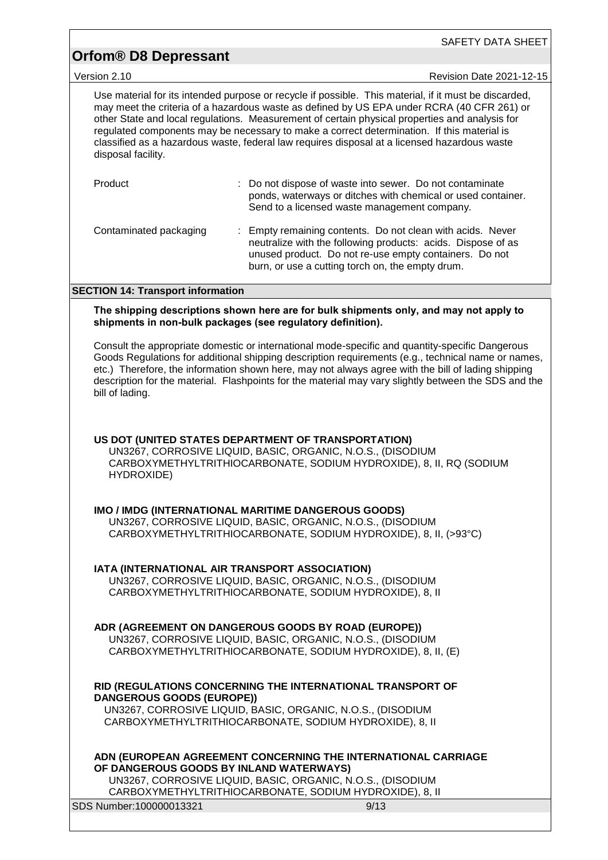| <b>Orfom® D8 Depressant</b>              |                                                                                                                                                                                                                                                                                                                                                                                                                                                                                                     |
|------------------------------------------|-----------------------------------------------------------------------------------------------------------------------------------------------------------------------------------------------------------------------------------------------------------------------------------------------------------------------------------------------------------------------------------------------------------------------------------------------------------------------------------------------------|
| Version 2.10                             | Revision Date 2021-12-15                                                                                                                                                                                                                                                                                                                                                                                                                                                                            |
| disposal facility.                       | Use material for its intended purpose or recycle if possible. This material, if it must be discarded,<br>may meet the criteria of a hazardous waste as defined by US EPA under RCRA (40 CFR 261) or<br>other State and local regulations. Measurement of certain physical properties and analysis for<br>regulated components may be necessary to make a correct determination. If this material is<br>classified as a hazardous waste, federal law requires disposal at a licensed hazardous waste |
| Product                                  | Do not dispose of waste into sewer. Do not contaminate<br>ponds, waterways or ditches with chemical or used container.<br>Send to a licensed waste management company.                                                                                                                                                                                                                                                                                                                              |
| Contaminated packaging                   | Empty remaining contents. Do not clean with acids. Never<br>neutralize with the following products: acids. Dispose of as<br>unused product. Do not re-use empty containers. Do not<br>burn, or use a cutting torch on, the empty drum.                                                                                                                                                                                                                                                              |
| <b>SECTION 14: Transport information</b> |                                                                                                                                                                                                                                                                                                                                                                                                                                                                                                     |
|                                          | The shipping descriptions shown here are for bulk shipments only, and may not apply to<br>shipments in non-bulk packages (see regulatory definition).                                                                                                                                                                                                                                                                                                                                               |
| bill of lading.                          | Consult the appropriate domestic or international mode-specific and quantity-specific Dangerous<br>Goods Regulations for additional shipping description requirements (e.g., technical name or names,<br>etc.) Therefore, the information shown here, may not always agree with the bill of lading shipping<br>description for the material. Flashpoints for the material may vary slightly between the SDS and the                                                                                 |
| HYDROXIDE)                               | US DOT (UNITED STATES DEPARTMENT OF TRANSPORTATION)<br>UN3267, CORROSIVE LIQUID, BASIC, ORGANIC, N.O.S., (DISODIUM<br>CARBOXYMETHYLTRITHIOCARBONATE, SODIUM HYDROXIDE), 8, II, RQ (SODIUM                                                                                                                                                                                                                                                                                                           |
|                                          | <b>IMO / IMDG (INTERNATIONAL MARITIME DANGEROUS GOODS)</b><br>UN3267, CORROSIVE LIQUID, BASIC, ORGANIC, N.O.S., (DISODIUM<br>CARBOXYMETHYLTRITHIOCARBONATE, SODIUM HYDROXIDE), 8, II, (>93°C)                                                                                                                                                                                                                                                                                                       |
|                                          | IATA (INTERNATIONAL AIR TRANSPORT ASSOCIATION)<br>UN3267, CORROSIVE LIQUID, BASIC, ORGANIC, N.O.S., (DISODIUM<br>CARBOXYMETHYLTRITHIOCARBONATE, SODIUM HYDROXIDE), 8, II                                                                                                                                                                                                                                                                                                                            |
|                                          | ADR (AGREEMENT ON DANGEROUS GOODS BY ROAD (EUROPE))<br>UN3267, CORROSIVE LIQUID, BASIC, ORGANIC, N.O.S., (DISODIUM<br>CARBOXYMETHYLTRITHIOCARBONATE, SODIUM HYDROXIDE), 8, II, (E)                                                                                                                                                                                                                                                                                                                  |
| <b>DANGEROUS GOODS (EUROPE))</b>         | RID (REGULATIONS CONCERNING THE INTERNATIONAL TRANSPORT OF<br>UN3267, CORROSIVE LIQUID, BASIC, ORGANIC, N.O.S., (DISODIUM<br>CARBOXYMETHYLTRITHIOCARBONATE, SODIUM HYDROXIDE), 8, II                                                                                                                                                                                                                                                                                                                |
| OF DANGEROUS GOODS BY INLAND WATERWAYS)  | ADN (EUROPEAN AGREEMENT CONCERNING THE INTERNATIONAL CARRIAGE<br>UN3267, CORROSIVE LIQUID, BASIC, ORGANIC, N.O.S., (DISODIUM<br>CARBOXYMETHYLTRITHIOCARBONATE, SODIUM HYDROXIDE), 8, II                                                                                                                                                                                                                                                                                                             |
| SDS Number:100000013321                  | 9/13                                                                                                                                                                                                                                                                                                                                                                                                                                                                                                |

SAFETY DATA SHEET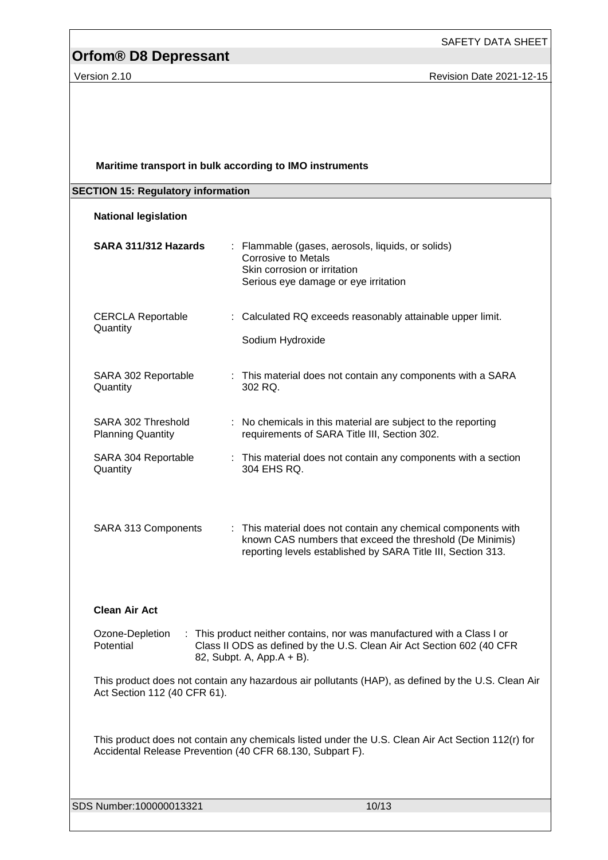SAFETY DATA SHEET

Version 2.10 Revision Date 2021-12-15

### **Maritime transport in bulk according to IMO instruments**

| <b>SECTION 15: Regulatory information</b>                                                                                                                       |                                                                                                                                                                                           |  |  |
|-----------------------------------------------------------------------------------------------------------------------------------------------------------------|-------------------------------------------------------------------------------------------------------------------------------------------------------------------------------------------|--|--|
| <b>National legislation</b>                                                                                                                                     |                                                                                                                                                                                           |  |  |
| SARA 311/312 Hazards                                                                                                                                            | : Flammable (gases, aerosols, liquids, or solids)<br><b>Corrosive to Metals</b><br>Skin corrosion or irritation<br>Serious eye damage or eye irritation                                   |  |  |
| <b>CERCLA Reportable</b><br>Quantity                                                                                                                            | : Calculated RQ exceeds reasonably attainable upper limit.<br>Sodium Hydroxide                                                                                                            |  |  |
| SARA 302 Reportable<br>Quantity                                                                                                                                 | : This material does not contain any components with a SARA<br>302 RQ.                                                                                                                    |  |  |
| SARA 302 Threshold<br><b>Planning Quantity</b>                                                                                                                  | : No chemicals in this material are subject to the reporting<br>requirements of SARA Title III, Section 302.                                                                              |  |  |
| SARA 304 Reportable<br>Quantity                                                                                                                                 | : This material does not contain any components with a section<br>304 EHS RQ.                                                                                                             |  |  |
| SARA 313 Components                                                                                                                                             | : This material does not contain any chemical components with<br>known CAS numbers that exceed the threshold (De Minimis)<br>reporting levels established by SARA Title III, Section 313. |  |  |
| <b>Clean Air Act</b>                                                                                                                                            |                                                                                                                                                                                           |  |  |
| Ozone-Depletion<br>Potential                                                                                                                                    | This product neither contains, nor was manufactured with a Class I or<br>Class II ODS as defined by the U.S. Clean Air Act Section 602 (40 CFR<br>82, Subpt. A, App. A + B).              |  |  |
| This product does not contain any hazardous air pollutants (HAP), as defined by the U.S. Clean Air<br>Act Section 112 (40 CFR 61).                              |                                                                                                                                                                                           |  |  |
| This product does not contain any chemicals listed under the U.S. Clean Air Act Section 112(r) for<br>Accidental Release Prevention (40 CFR 68.130, Subpart F). |                                                                                                                                                                                           |  |  |
|                                                                                                                                                                 |                                                                                                                                                                                           |  |  |
| SDS Number:100000013321                                                                                                                                         | 10/13                                                                                                                                                                                     |  |  |
|                                                                                                                                                                 |                                                                                                                                                                                           |  |  |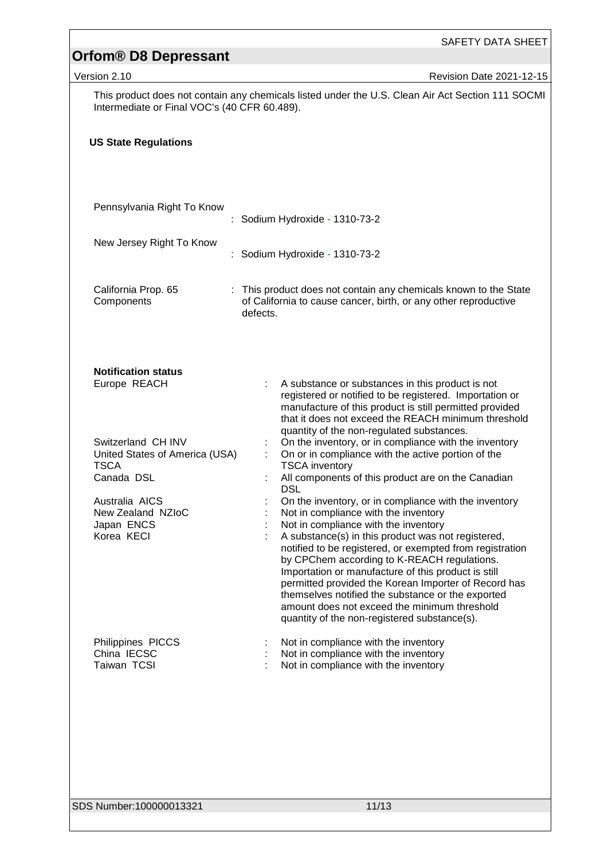| <b>Orfom® D8 Depressant</b>                                                       | SAFETY DATA SHEET                                                                                                                                                                                                                                                                                                                                                                                                                                                                                                                                                                        |
|-----------------------------------------------------------------------------------|------------------------------------------------------------------------------------------------------------------------------------------------------------------------------------------------------------------------------------------------------------------------------------------------------------------------------------------------------------------------------------------------------------------------------------------------------------------------------------------------------------------------------------------------------------------------------------------|
| Version 2.10                                                                      | Revision Date 2021-12-15                                                                                                                                                                                                                                                                                                                                                                                                                                                                                                                                                                 |
| Intermediate or Final VOC's (40 CFR 60.489).                                      | This product does not contain any chemicals listed under the U.S. Clean Air Act Section 111 SOCMI                                                                                                                                                                                                                                                                                                                                                                                                                                                                                        |
| <b>US State Regulations</b>                                                       |                                                                                                                                                                                                                                                                                                                                                                                                                                                                                                                                                                                          |
| Pennsylvania Right To Know                                                        | Sodium Hydroxide - 1310-73-2                                                                                                                                                                                                                                                                                                                                                                                                                                                                                                                                                             |
| New Jersey Right To Know                                                          | Sodium Hydroxide - 1310-73-2                                                                                                                                                                                                                                                                                                                                                                                                                                                                                                                                                             |
| California Prop. 65<br>Components                                                 | This product does not contain any chemicals known to the State<br>of California to cause cancer, birth, or any other reproductive<br>defects.                                                                                                                                                                                                                                                                                                                                                                                                                                            |
| <b>Notification status</b><br>Europe REACH                                        | A substance or substances in this product is not<br>registered or notified to be registered. Importation or<br>manufacture of this product is still permitted provided<br>that it does not exceed the REACH minimum threshold                                                                                                                                                                                                                                                                                                                                                            |
| Switzerland CH INV<br>United States of America (USA)<br><b>TSCA</b><br>Canada DSL | quantity of the non-regulated substances.<br>On the inventory, or in compliance with the inventory<br>On or in compliance with the active portion of the<br><b>TSCA</b> inventory<br>All components of this product are on the Canadian                                                                                                                                                                                                                                                                                                                                                  |
| Australia AICS<br>New Zealand NZIoC<br>Japan ENCS<br>Korea KECI                   | <b>DSL</b><br>On the inventory, or in compliance with the inventory<br>Not in compliance with the inventory<br>Not in compliance with the inventory<br>A substance(s) in this product was not registered,<br>notified to be registered, or exempted from registration<br>by CPChem according to K-REACH regulations.<br>Importation or manufacture of this product is still<br>permitted provided the Korean Importer of Record has<br>themselves notified the substance or the exported<br>amount does not exceed the minimum threshold<br>quantity of the non-registered substance(s). |
| Philippines PICCS<br>China IECSC<br>Taiwan TCSI                                   | Not in compliance with the inventory<br>Not in compliance with the inventory<br>Not in compliance with the inventory                                                                                                                                                                                                                                                                                                                                                                                                                                                                     |
| SDS Number:100000013321                                                           | 11/13                                                                                                                                                                                                                                                                                                                                                                                                                                                                                                                                                                                    |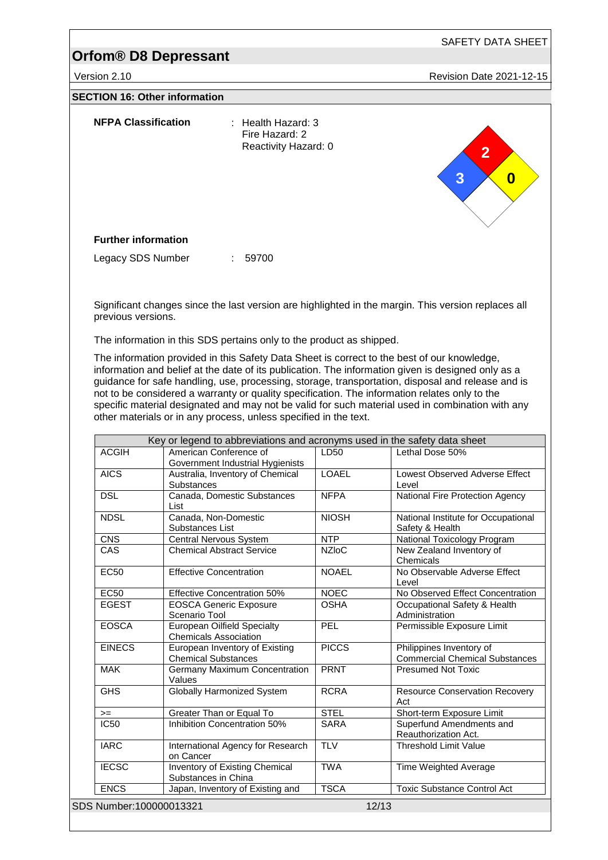Version 2.10 **Version 2.10** Revision Date 2021-12-15

#### **SECTION 16: Other information**

| <b>NFPA Classification</b> | : Health Hazard: $3$<br>Fire Hazard: 2<br>Reactivity Hazard: 0 | $\overline{2}$<br>$\sim$<br>3<br>$\boldsymbol{0}$ |
|----------------------------|----------------------------------------------------------------|---------------------------------------------------|
| <b>Further information</b> |                                                                |                                                   |
| Legacy SDS Number          | 59700<br>÷                                                     |                                                   |

Significant changes since the last version are highlighted in the margin. This version replaces all previous versions.

The information in this SDS pertains only to the product as shipped.

The information provided in this Safety Data Sheet is correct to the best of our knowledge, information and belief at the date of its publication. The information given is designed only as a guidance for safe handling, use, processing, storage, transportation, disposal and release and is not to be considered a warranty or quality specification. The information relates only to the specific material designated and may not be valid for such material used in combination with any other materials or in any process, unless specified in the text.

| Key or legend to abbreviations and acronyms used in the safety data sheet |                                                                    |              |                                                                   |  |
|---------------------------------------------------------------------------|--------------------------------------------------------------------|--------------|-------------------------------------------------------------------|--|
| <b>ACGIH</b>                                                              | American Conference of<br>Government Industrial Hygienists         | LD50         | Lethal Dose 50%                                                   |  |
| <b>AICS</b>                                                               | Australia, Inventory of Chemical<br><b>Substances</b>              | <b>LOAEL</b> | Lowest Observed Adverse Effect<br>Level                           |  |
| <b>DSL</b>                                                                | Canada, Domestic Substances<br>List                                | <b>NFPA</b>  | National Fire Protection Agency                                   |  |
| <b>NDSL</b>                                                               | Canada, Non-Domestic<br>Substances List                            | <b>NIOSH</b> | National Institute for Occupational<br>Safety & Health            |  |
| <b>CNS</b>                                                                | Central Nervous System                                             | <b>NTP</b>   | National Toxicology Program                                       |  |
| CAS                                                                       | <b>Chemical Abstract Service</b>                                   | <b>NZIoC</b> | New Zealand Inventory of<br>Chemicals                             |  |
| <b>EC50</b>                                                               | <b>Effective Concentration</b>                                     | <b>NOAEL</b> | No Observable Adverse Effect<br>Level                             |  |
| <b>EC50</b>                                                               | <b>Effective Concentration 50%</b>                                 | <b>NOEC</b>  | No Observed Effect Concentration                                  |  |
| <b>EGEST</b>                                                              | <b>EOSCA Generic Exposure</b><br>Scenario Tool                     | <b>OSHA</b>  | Occupational Safety & Health<br>Administration                    |  |
| <b>EOSCA</b>                                                              | <b>European Oilfield Specialty</b><br><b>Chemicals Association</b> | PEL          | Permissible Exposure Limit                                        |  |
| <b>EINECS</b>                                                             | European Inventory of Existing<br><b>Chemical Substances</b>       | <b>PICCS</b> | Philippines Inventory of<br><b>Commercial Chemical Substances</b> |  |
| <b>MAK</b>                                                                | <b>Germany Maximum Concentration</b><br>Values                     | <b>PRNT</b>  | <b>Presumed Not Toxic</b>                                         |  |
| <b>GHS</b>                                                                | <b>Globally Harmonized System</b>                                  | <b>RCRA</b>  | <b>Resource Conservation Recovery</b><br>Act                      |  |
| $>=$                                                                      | Greater Than or Equal To                                           | <b>STEL</b>  | Short-term Exposure Limit                                         |  |
| <b>IC50</b>                                                               | Inhibition Concentration 50%                                       | <b>SARA</b>  | Superfund Amendments and<br>Reauthorization Act.                  |  |
| <b>IARC</b>                                                               | International Agency for Research<br>on Cancer                     | <b>TLV</b>   | <b>Threshold Limit Value</b>                                      |  |
| <b>IECSC</b>                                                              | Inventory of Existing Chemical<br>Substances in China              | <b>TWA</b>   | Time Weighted Average                                             |  |
| <b>ENCS</b>                                                               | Japan, Inventory of Existing and                                   | <b>TSCA</b>  | <b>Toxic Substance Control Act</b>                                |  |
| SDS Number:100000013321                                                   |                                                                    | 12/13        |                                                                   |  |